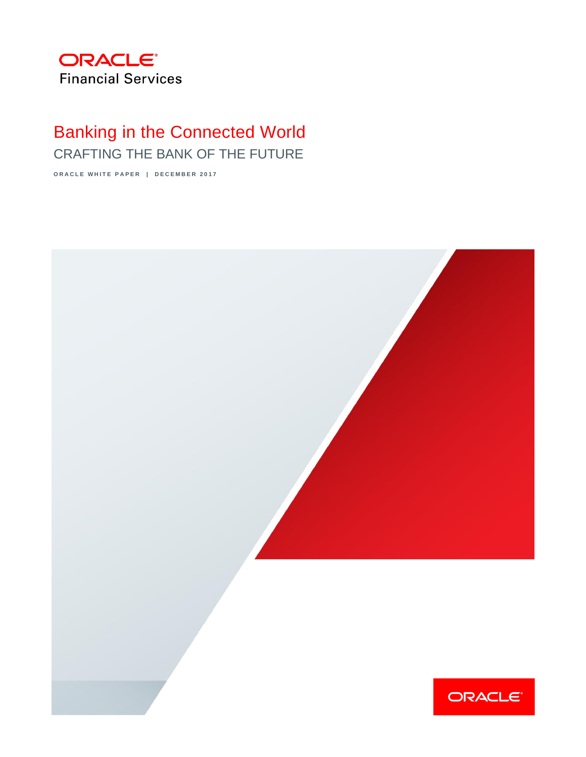

# Banking in the Connected World

CRAFTING THE BANK OF THE FUTURE

**ORACLE WHITE PAPER | DECEMBER 2017** 

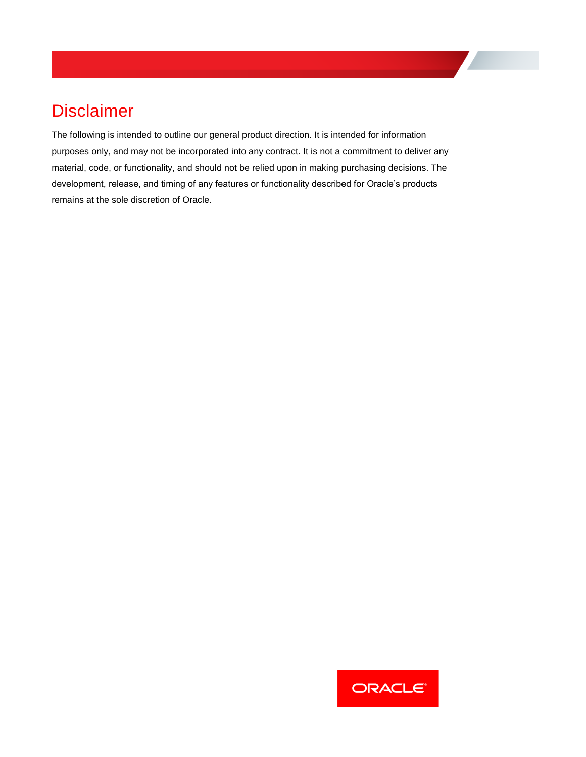# **Disclaimer**

The following is intended to outline our general product direction. It is intended for information purposes only, and may not be incorporated into any contract. It is not a commitment to deliver any material, code, or functionality, and should not be relied upon in making purchasing decisions. The development, release, and timing of any features or functionality described for Oracle's products remains at the sole discretion of Oracle.

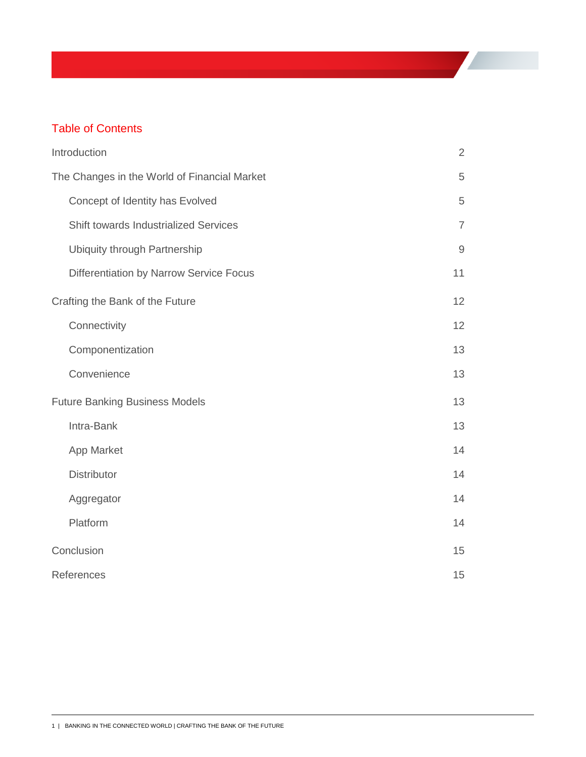# Table of Contents

<span id="page-2-0"></span>

| Introduction                                 | $\sqrt{2}$     |
|----------------------------------------------|----------------|
| The Changes in the World of Financial Market | 5              |
| Concept of Identity has Evolved              | 5              |
| <b>Shift towards Industrialized Services</b> | $\overline{7}$ |
| <b>Ubiquity through Partnership</b>          | $\mathsf 9$    |
| Differentiation by Narrow Service Focus      | 11             |
| Crafting the Bank of the Future              | 12             |
| Connectivity                                 | 12             |
| Componentization                             | 13             |
| Convenience                                  | 13             |
| <b>Future Banking Business Models</b>        | 13             |
| Intra-Bank                                   | 13             |
| App Market                                   | 14             |
| <b>Distributor</b>                           | 14             |
| Aggregator                                   | 14             |
| Platform                                     | 14             |
| Conclusion                                   | 15             |
| References                                   | 15             |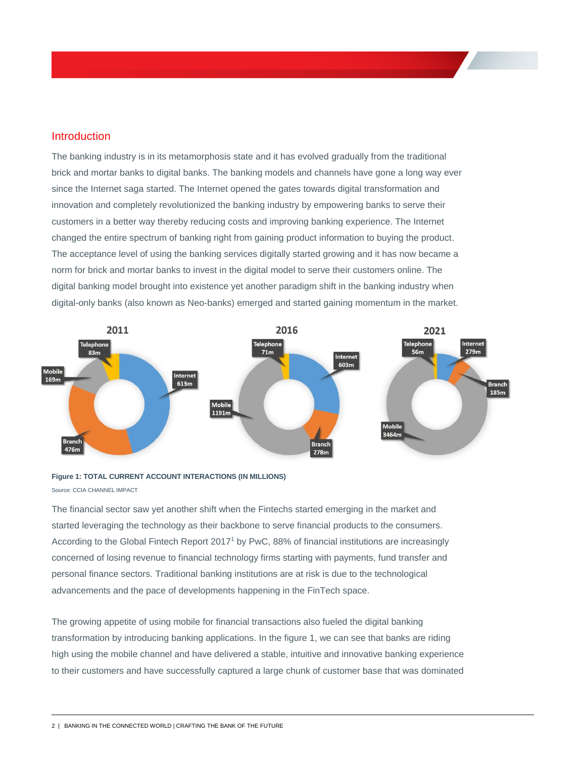## Introduction

The banking industry is in its metamorphosis state and it has evolved gradually from the traditional brick and mortar banks to digital banks. The banking models and channels have gone a long way ever since the Internet saga started. The Internet opened the gates towards digital transformation and innovation and completely revolutionized the banking industry by empowering banks to serve their customers in a better way thereby reducing costs and improving banking experience. The Internet changed the entire spectrum of banking right from gaining product information to buying the product. The acceptance level of using the banking services digitally started growing and it has now became a norm for brick and mortar banks to invest in the digital model to serve their customers online. The digital banking model brought into existence yet another paradigm shift in the banking industry when digital-only banks (also known as Neo-banks) emerged and started gaining momentum in the market.



### **Figure 1: TOTAL CURRENT ACCOUNT INTERACTIONS (IN MILLIONS)**  Source: CCIA CHANNEL IMPACT

The financial sector saw yet another shift when the Fintechs started emerging in the market and started leveraging the technology as their backbone to serve financial products to the consumers. According to the Global Fintech Report 2017<sup>1</sup> by PwC, 88% of financial institutions are increasingly concerned of losing revenue to financial technology firms starting with payments, fund transfer and personal finance sectors. Traditional banking institutions are at risk is due to the technological advancements and the pace of developments happening in the FinTech space.

The growing appetite of using mobile for financial transactions also fueled the digital banking transformation by introducing banking applications. In the figure 1, we can see that banks are riding high using the mobile channel and have delivered a stable, intuitive and innovative banking experience to their customers and have successfully captured a large chunk of customer base that was dominated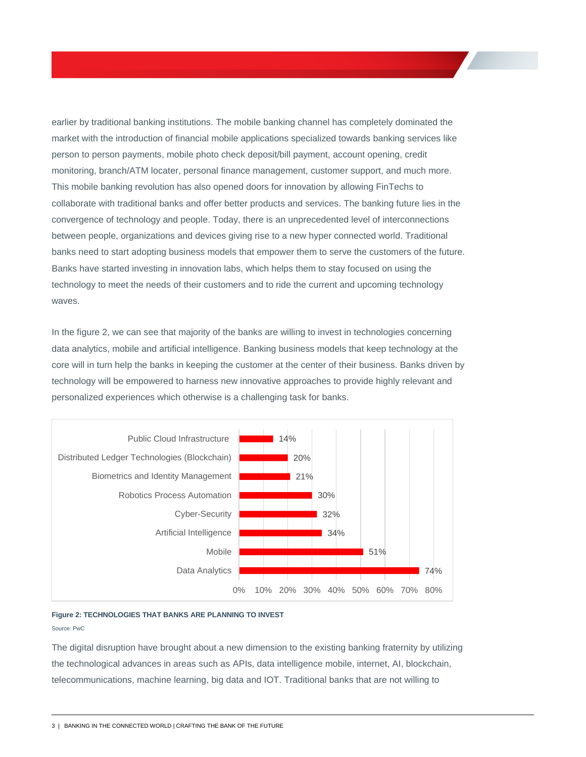earlier by traditional banking institutions. The mobile banking channel has completely dominated the market with the introduction of financial mobile applications specialized towards banking services like person to person payments, mobile photo check deposit/bill payment, account opening, credit monitoring, branch/ATM locater, personal finance management, customer support, and much more. This mobile banking revolution has also opened doors for innovation by allowing FinTechs to collaborate with traditional banks and offer better products and services. The banking future lies in the convergence of technology and people. Today, there is an unprecedented level of interconnections between people, organizations and devices giving rise to a new hyper connected world. Traditional banks need to start adopting business models that empower them to serve the customers of the future. Banks have started investing in innovation labs, which helps them to stay focused on using the technology to meet the needs of their customers and to ride the current and upcoming technology waves.

In the figure 2, we can see that majority of the banks are willing to invest in technologies concerning data analytics, mobile and artificial intelligence. Banking business models that keep technology at the core will in turn help the banks in keeping the customer at the center of their business. Banks driven by technology will be empowered to harness new innovative approaches to provide highly relevant and personalized experiences which otherwise is a challenging task for banks.



### **Figure 2: TECHNOLOGIES THAT BANKS ARE PLANNING TO INVEST**

Source: PwC

The digital disruption have brought about a new dimension to the existing banking fraternity by utilizing the technological advances in areas such as APIs, data intelligence mobile, internet, AI, blockchain, telecommunications, machine learning, big data and IOT. Traditional banks that are not willing to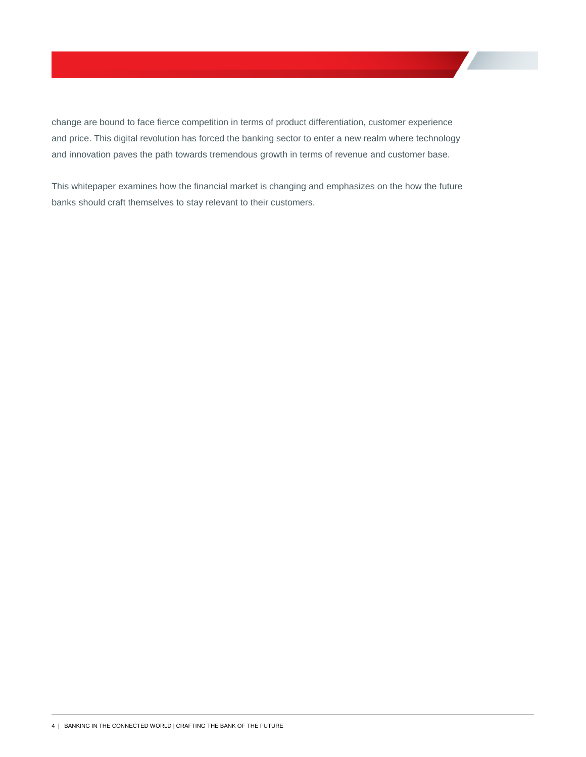change are bound to face fierce competition in terms of product differentiation, customer experience and price. This digital revolution has forced the banking sector to enter a new realm where technology and innovation paves the path towards tremendous growth in terms of revenue and customer base.

This whitepaper examines how the financial market is changing and emphasizes on the how the future banks should craft themselves to stay relevant to their customers.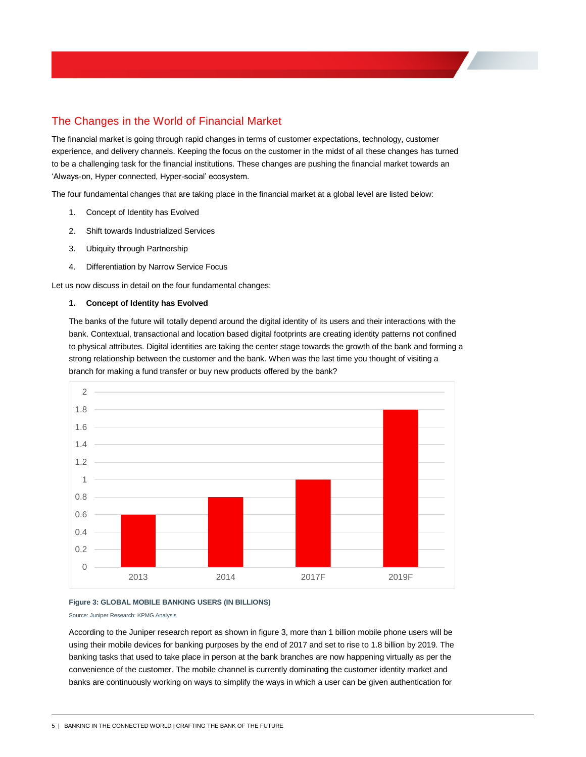# The Changes in the World of Financial Market

The financial market is going through rapid changes in terms of customer expectations, technology, customer experience, and delivery channels. Keeping the focus on the customer in the midst of all these changes has turned to be a challenging task for the financial institutions. These changes are pushing the financial market towards an 'Always-on, Hyper connected, Hyper-social' ecosystem.

The four fundamental changes that are taking place in the financial market at a global level are listed below:

- 1. Concept of Identity has Evolved
- 2. Shift towards Industrialized Services
- 3. Ubiquity through Partnership
- 4. Differentiation by Narrow Service Focus

Let us now discuss in detail on the four fundamental changes:

#### **1. Concept of Identity has Evolved**

The banks of the future will totally depend around the digital identity of its users and their interactions with the bank. Contextual, transactional and location based digital footprints are creating identity patterns not confined to physical attributes. Digital identities are taking the center stage towards the growth of the bank and forming a strong relationship between the customer and the bank. When was the last time you thought of visiting a branch for making a fund transfer or buy new products offered by the bank?



#### **Figure 3: GLOBAL MOBILE BANKING USERS (IN BILLIONS)**

Source: Juniper Research: KPMG Analysis

According to the Juniper research report as shown in figure 3, more than 1 billion mobile phone users will be using their mobile devices for banking purposes by the end of 2017 and set to rise to 1.8 billion by 2019. The banking tasks that used to take place in person at the bank branches are now happening virtually as per the convenience of the customer. The mobile channel is currently dominating the customer identity market and banks are continuously working on ways to simplify the ways in which a user can be given authentication for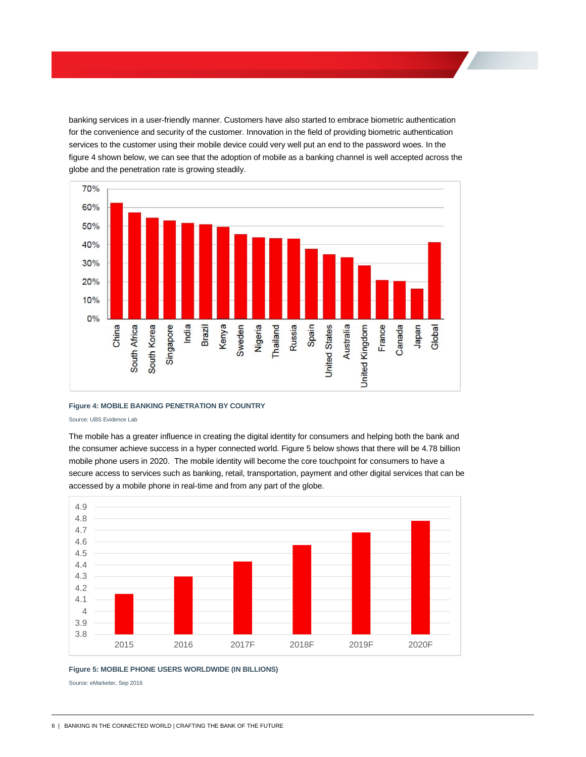banking services in a user-friendly manner. Customers have also started to embrace biometric authentication for the convenience and security of the customer. Innovation in the field of providing biometric authentication services to the customer using their mobile device could very well put an end to the password woes. In the figure 4 shown below, we can see that the adoption of mobile as a banking channel is well accepted across the globe and the penetration rate is growing steadily.



#### **Figure 4: MOBILE BANKING PENETRATION BY COUNTRY**

#### Source: UBS Evidence Lab

The mobile has a greater influence in creating the digital identity for consumers and helping both the bank and the consumer achieve success in a hyper connected world. Figure 5 below shows that there will be 4.78 billion mobile phone users in 2020. The mobile identity will become the core touchpoint for consumers to have a secure access to services such as banking, retail, transportation, payment and other digital services that can be accessed by a mobile phone in real-time and from any part of the globe.



#### **Figure 5: MOBILE PHONE USERS WORLDWIDE (IN BILLIONS)**

Source: eMarketer, Sep 2016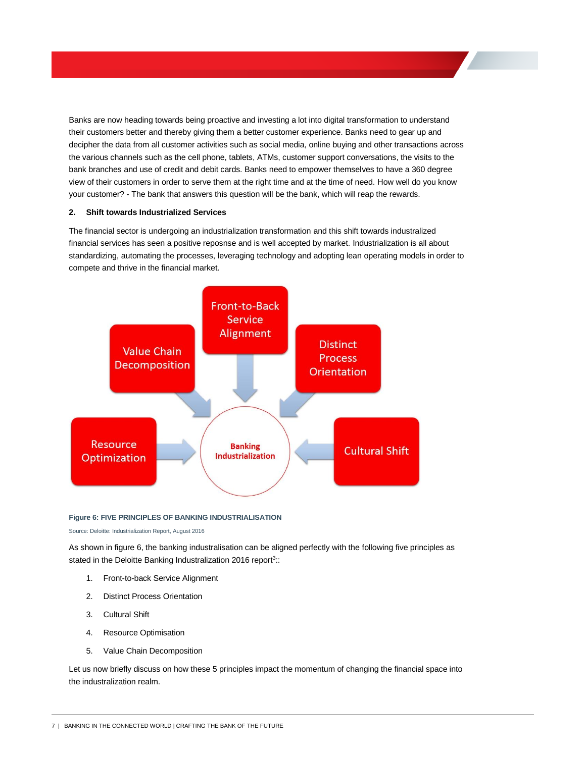Banks are now heading towards being proactive and investing a lot into digital transformation to understand their customers better and thereby giving them a better customer experience. Banks need to gear up and decipher the data from all customer activities such as social media, online buying and other transactions across the various channels such as the cell phone, tablets, ATMs, customer support conversations, the visits to the bank branches and use of credit and debit cards. Banks need to empower themselves to have a 360 degree view of their customers in order to serve them at the right time and at the time of need. How well do you know your customer? - The bank that answers this question will be the bank, which will reap the rewards.

#### **2. Shift towards Industrialized Services**

The financial sector is undergoing an industrialization transformation and this shift towards industralized financial services has seen a positive reposnse and is well accepted by market. Industrialization is all about standardizing, automating the processes, leveraging technology and adopting lean operating models in order to compete and thrive in the financial market.



#### **Figure 6: FIVE PRINCIPLES OF BANKING INDUSTRIALISATION**

Source: Deloitte: Industrialization Report, August 2016

As shown in figure 6, the banking industralisation can be aligned perfectly with the following five principles as stated in the Deloitte Banking Industralization 2016 report<sup>3</sup>::

- 1. Front-to-back Service Alignment
- 2. Distinct Process Orientation
- 3. Cultural Shift
- 4. Resource Optimisation
- 5. Value Chain Decomposition

Let us now briefly discuss on how these 5 principles impact the momentum of changing the financial space into the industralization realm.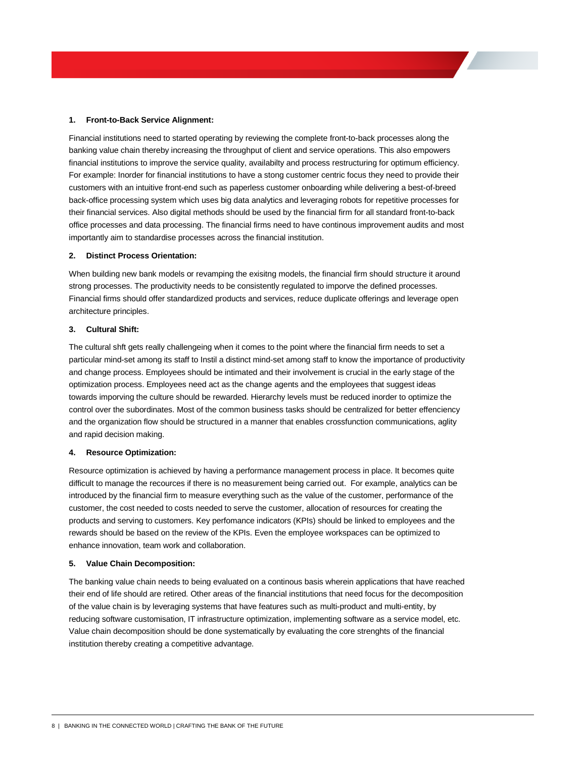#### **1. Front-to-Back Service Alignment:**

Financial institutions need to started operating by reviewing the complete front-to-back processes along the banking value chain thereby increasing the throughput of client and service operations. This also empowers financial institutions to improve the service quality, availabilty and process restructuring for optimum efficiency. For example: Inorder for financial institutions to have a stong customer centric focus they need to provide their customers with an intuitive front-end such as paperless customer onboarding while delivering a best-of-breed back-office processing system which uses big data analytics and leveraging robots for repetitive processes for their financial services. Also digital methods should be used by the financial firm for all standard front-to-back office processes and data processing. The financial firms need to have continous improvement audits and most importantly aim to standardise processes across the financial institution.

#### **2. Distinct Process Orientation:**

When building new bank models or revamping the exisitng models, the financial firm should structure it around strong processes. The productivity needs to be consistently regulated to imporve the defined processes. Financial firms should offer standardized products and services, reduce duplicate offerings and leverage open architecture principles.

#### **3. Cultural Shift:**

The cultural shft gets really challengeing when it comes to the point where the financial firm needs to set a particular mind-set among its staff to Instil a distinct mind-set among staff to know the importance of productivity and change process. Employees should be intimated and their involvement is crucial in the early stage of the optimization process. Employees need act as the change agents and the employees that suggest ideas towards imporving the culture should be rewarded. Hierarchy levels must be reduced inorder to optimize the control over the subordinates. Most of the common business tasks should be centralized for better effenciency and the organization flow should be structured in a manner that enables crossfunction communications, aglity and rapid decision making.

#### **4. Resource Optimization:**

Resource optimization is achieved by having a performance management process in place. It becomes quite difficult to manage the recources if there is no measurement being carried out. For example, analytics can be introduced by the financial firm to measure everything such as the value of the customer, performance of the customer, the cost needed to costs needed to serve the customer, allocation of resources for creating the products and serving to customers. Key perfomance indicators (KPIs) should be linked to employees and the rewards should be based on the review of the KPIs. Even the employee workspaces can be optimized to enhance innovation, team work and collaboration.

#### **5. Value Chain Decomposition:**

The banking value chain needs to being evaluated on a continous basis wherein applications that have reached their end of life should are retired. Other areas of the financial institutions that need focus for the decomposition of the value chain is by leveraging systems that have features such as multi-product and multi-entity, by reducing software customisation, IT infrastructure optimization, implementing software as a service model, etc. Value chain decomposition should be done systematically by evaluating the core strenghts of the financial institution thereby creating a competitive advantage.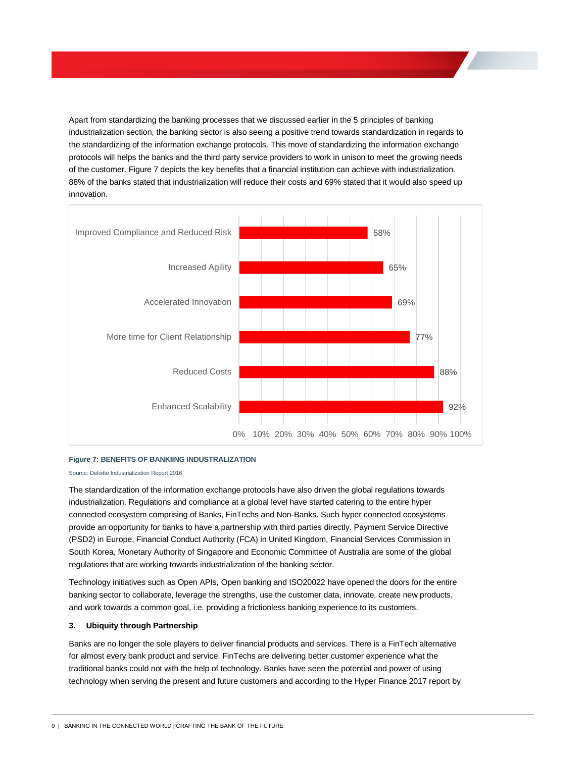Apart from standardizing the banking processes that we discussed earlier in the 5 principles of banking industrialization section, the banking sector is also seeing a positive trend towards standardization in regards to the standardizing of the information exchange protocols. This move of standardizing the information exchange protocols will helps the banks and the third party service providers to work in unison to meet the growing needs of the customer. Figure 7 depicts the key benefits that a financial institution can achieve with industrialization. 88% of the banks stated that industrialization will reduce their costs and 69% stated that it would also speed up innovation.



#### **Figure 7: BENEFITS OF BANKIING INDUSTRALIZATION**

Source: Deloitte Industrialization Report 2016

The standardization of the information exchange protocols have also driven the global regulations towards industrialization. Regulations and compliance at a global level have started catering to the entire hyper connected ecosystem comprising of Banks, FinTechs and Non-Banks. Such hyper connected ecosystems provide an opportunity for banks to have a partnership with third parties directly. Payment Service Directive (PSD2) in Europe, Financial Conduct Authority (FCA) in United Kingdom, Financial Services Commission in South Korea, Monetary Authority of Singapore and Economic Committee of Australia are some of the global regulations that are working towards industrialization of the banking sector.

Technology initiatives such as Open APIs, Open banking and ISO20022 have opened the doors for the entire banking sector to collaborate, leverage the strengths, use the customer data, innovate, create new products, and work towards a common goal, i.e. providing a frictionless banking experience to its customers.

#### **3. Ubiquity through Partnership**

Banks are no longer the sole players to deliver financial products and services. There is a FinTech alternative for almost every bank product and service. FinTechs are delivering better customer experience what the traditional banks could not with the help of technology. Banks have seen the potential and power of using technology when serving the present and future customers and according to the Hyper Finance 2017 report by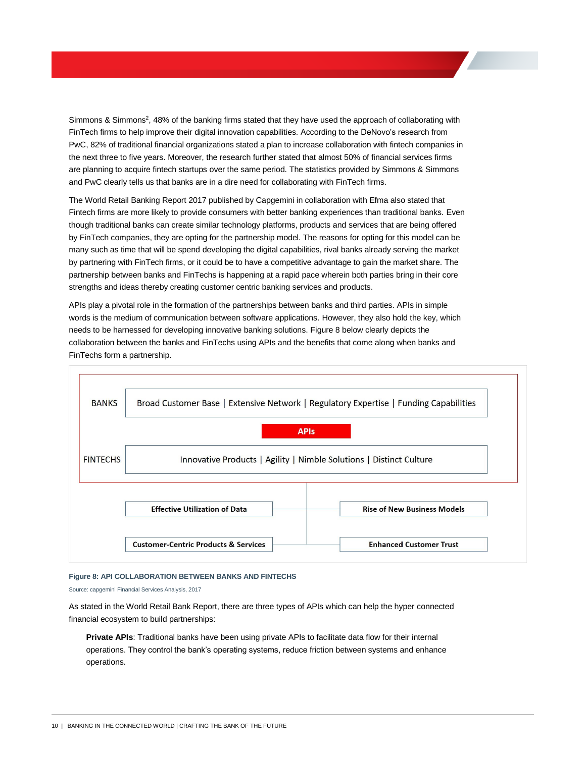Simmons & Simmons<sup>2</sup>, 48% of the banking firms stated that they have used the approach of collaborating with FinTech firms to help improve their digital innovation capabilities. According to the DeNovo's research from PwC, 82% of traditional financial organizations stated a plan to increase collaboration with fintech companies in the next three to five years. Moreover, the research further stated that almost 50% of financial services firms are planning to acquire fintech startups over the same period. The statistics provided by Simmons & Simmons and PwC clearly tells us that banks are in a dire need for collaborating with FinTech firms.

The World Retail Banking Report 2017 published by Capgemini in collaboration with Efma also stated that Fintech firms are more likely to provide consumers with better banking experiences than traditional banks. Even though traditional banks can create similar technology platforms, products and services that are being offered by FinTech companies, they are opting for the partnership model. The reasons for opting for this model can be many such as time that will be spend developing the digital capabilities, rival banks already serving the market by partnering with FinTech firms, or it could be to have a competitive advantage to gain the market share. The partnership between banks and FinTechs is happening at a rapid pace wherein both parties bring in their core strengths and ideas thereby creating customer centric banking services and products.

APIs play a pivotal role in the formation of the partnerships between banks and third parties. APIs in simple words is the medium of communication between software applications. However, they also hold the key, which needs to be harnessed for developing innovative banking solutions. Figure 8 below clearly depicts the collaboration between the banks and FinTechs using APIs and the benefits that come along when banks and FinTechs form a partnership.



#### **Figure 8: API COLLABORATION BETWEEN BANKS AND FINTECHS**

Source: capgemini Financial Services Analysis, 2017

As stated in the World Retail Bank Report, there are three types of APIs which can help the hyper connected financial ecosystem to build partnerships:

**Private APIs**: Traditional banks have been using private APIs to facilitate data flow for their internal operations. They control the bank's operating systems, reduce friction between systems and enhance operations.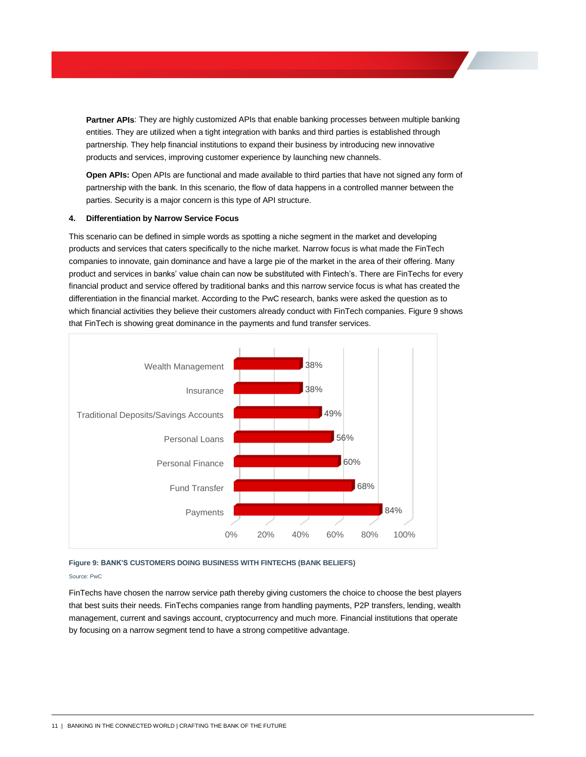**Partner APIs**: They are highly customized APIs that enable banking processes between multiple banking entities. They are utilized when a tight integration with banks and third parties is established through partnership. They help financial institutions to expand their business by introducing new innovative products and services, improving customer experience by launching new channels.

**Open APIs:** Open APIs are functional and made available to third parties that have not signed any form of partnership with the bank. In this scenario, the flow of data happens in a controlled manner between the parties. Security is a major concern is this type of API structure.

#### **4. Differentiation by Narrow Service Focus**

This scenario can be defined in simple words as spotting a niche segment in the market and developing products and services that caters specifically to the niche market. Narrow focus is what made the FinTech companies to innovate, gain dominance and have a large pie of the market in the area of their offering. Many product and services in banks' value chain can now be substituted with Fintech's. There are FinTechs for every financial product and service offered by traditional banks and this narrow service focus is what has created the differentiation in the financial market. According to the PwC research, banks were asked the question as to which financial activities they believe their customers already conduct with FinTech companies. Figure 9 shows that FinTech is showing great dominance in the payments and fund transfer services.



#### **Figure 9: BANK'S CUSTOMERS DOING BUSINESS WITH FINTECHS (BANK BELIEFS)**

#### Source: PwC

FinTechs have chosen the narrow service path thereby giving customers the choice to choose the best players that best suits their needs. FinTechs companies range from handling payments, P2P transfers, lending, wealth management, current and savings account, cryptocurrency and much more. Financial institutions that operate by focusing on a narrow segment tend to have a strong competitive advantage.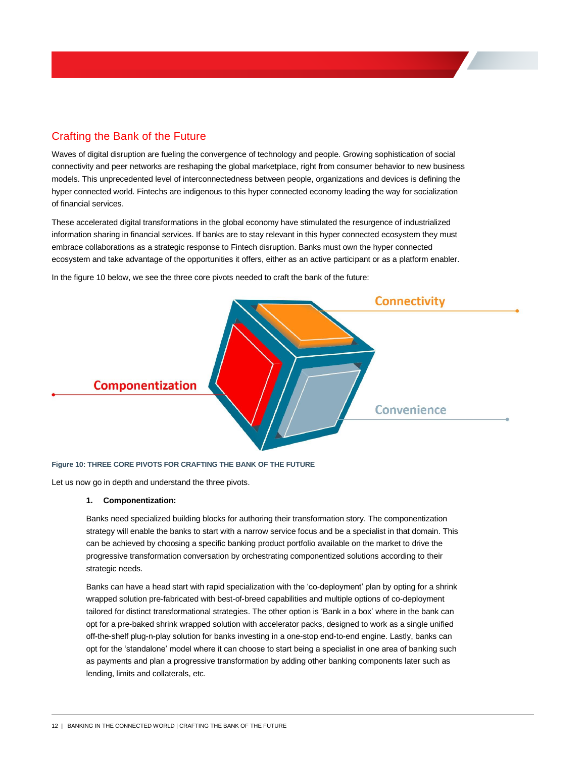# Crafting the Bank of the Future

<span id="page-13-0"></span>Waves of digital disruption are fueling the convergence of technology and people. Growing sophistication of social connectivity and peer networks are reshaping the global marketplace, right from consumer behavior to new business models. This unprecedented level of interconnectedness between people, organizations and devices is defining the hyper connected world. Fintechs are indigenous to this hyper connected economy leading the way for socialization of financial services.

These accelerated digital transformations in the global economy have stimulated the resurgence of industrialized information sharing in financial services. If banks are to stay relevant in this hyper connected ecosystem they must embrace collaborations as a strategic response to Fintech disruption. Banks must own the hyper connected ecosystem and take advantage of the opportunities it offers, either as an active participant or as a platform enabler.

In the figure 10 below, we see the three core pivots needed to craft the bank of the future:



#### **Figure 10: THREE CORE PIVOTS FOR CRAFTING THE BANK OF THE FUTURE**

Let us now go in depth and understand the three pivots.

#### **1. Componentization:**

Banks need specialized building blocks for authoring their transformation story. The componentization strategy will enable the banks to start with a narrow service focus and be a specialist in that domain. This can be achieved by choosing a specific banking product portfolio available on the market to drive the progressive transformation conversation by orchestrating componentized solutions according to their strategic needs.

Banks can have a head start with rapid specialization with the 'co-deployment' plan by opting for a shrink wrapped solution pre-fabricated with best-of-breed capabilities and multiple options of co-deployment tailored for distinct transformational strategies. The other option is 'Bank in a box' where in the bank can opt for a pre-baked shrink wrapped solution with accelerator packs, designed to work as a single unified off-the-shelf plug-n-play solution for banks investing in a one-stop end-to-end engine. Lastly, banks can opt for the 'standalone' model where it can choose to start being a specialist in one area of banking such as payments and plan a progressive transformation by adding other banking components later such as lending, limits and collaterals, etc.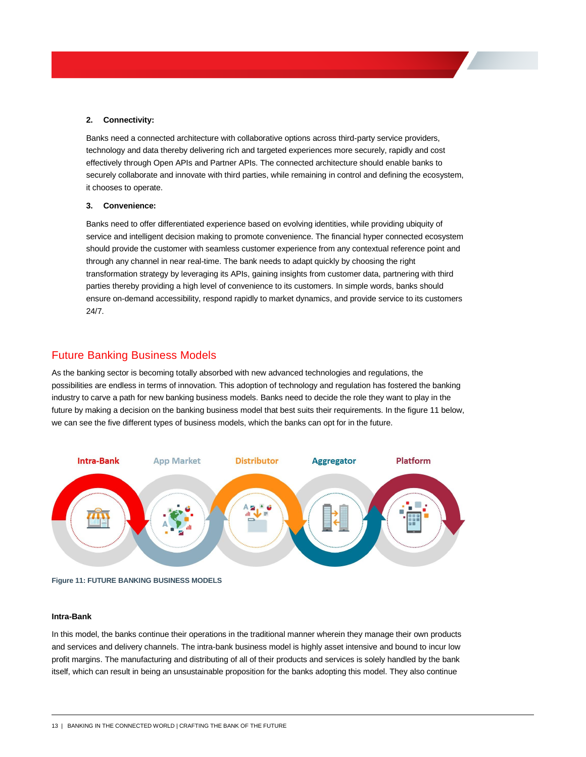#### **2. Connectivity:**

Banks need a connected architecture with collaborative options across third-party service providers, technology and data thereby delivering rich and targeted experiences more securely, rapidly and cost effectively through Open APIs and Partner APIs. The connected architecture should enable banks to securely collaborate and innovate with third parties, while remaining in control and defining the ecosystem, it chooses to operate.

#### **3. Convenience:**

Banks need to offer differentiated experience based on evolving identities, while providing ubiquity of service and intelligent decision making to promote convenience. The financial hyper connected ecosystem should provide the customer with seamless customer experience from any contextual reference point and through any channel in near real-time. The bank needs to adapt quickly by choosing the right transformation strategy by leveraging its APIs, gaining insights from customer data, partnering with third parties thereby providing a high level of convenience to its customers. In simple words, banks should ensure on-demand accessibility, respond rapidly to market dynamics, and provide service to its customers 24/7.

### Future Banking Business Models

As the banking sector is becoming totally absorbed with new advanced technologies and regulations, the possibilities are endless in terms of innovation. This adoption of technology and regulation has fostered the banking industry to carve a path for new banking business models. Banks need to decide the role they want to play in the future by making a decision on the banking business model that best suits their requirements. In the figure 11 below, we can see the five different types of business models, which the banks can opt for in the future.



**Figure 11: FUTURE BANKING BUSINESS MODELS**

#### **Intra-Bank**

In this model, the banks continue their operations in the traditional manner wherein they manage their own products and services and delivery channels. The intra-bank business model is highly asset intensive and bound to incur low profit margins. The manufacturing and distributing of all of their products and services is solely handled by the bank itself, which can result in being an unsustainable proposition for the banks adopting this model. They also continue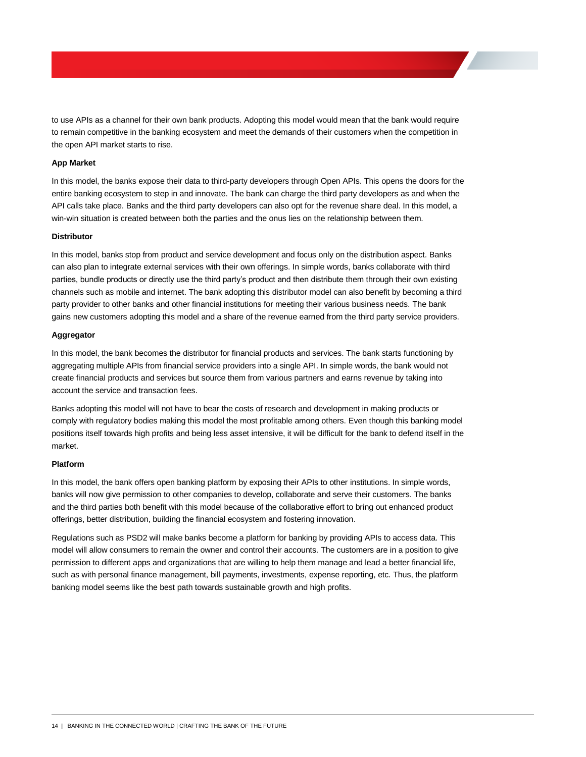to use APIs as a channel for their own bank products. Adopting this model would mean that the bank would require to remain competitive in the banking ecosystem and meet the demands of their customers when the competition in the open API market starts to rise.

#### **App Market**

In this model, the banks expose their data to third-party developers through Open APIs. This opens the doors for the entire banking ecosystem to step in and innovate. The bank can charge the third party developers as and when the API calls take place. Banks and the third party developers can also opt for the revenue share deal. In this model, a win-win situation is created between both the parties and the onus lies on the relationship between them.

#### **Distributor**

In this model, banks stop from product and service development and focus only on the distribution aspect. Banks can also plan to integrate external services with their own offerings. In simple words, banks collaborate with third parties, bundle products or directly use the third party's product and then distribute them through their own existing channels such as mobile and internet. The bank adopting this distributor model can also benefit by becoming a third party provider to other banks and other financial institutions for meeting their various business needs. The bank gains new customers adopting this model and a share of the revenue earned from the third party service providers.

#### **Aggregator**

In this model, the bank becomes the distributor for financial products and services. The bank starts functioning by aggregating multiple APIs from financial service providers into a single API. In simple words, the bank would not create financial products and services but source them from various partners and earns revenue by taking into account the service and transaction fees.

Banks adopting this model will not have to bear the costs of research and development in making products or comply with regulatory bodies making this model the most profitable among others. Even though this banking model positions itself towards high profits and being less asset intensive, it will be difficult for the bank to defend itself in the market.

#### **Platform**

In this model, the bank offers open banking platform by exposing their APIs to other institutions. In simple words, banks will now give permission to other companies to develop, collaborate and serve their customers. The banks and the third parties both benefit with this model because of the collaborative effort to bring out enhanced product offerings, better distribution, building the financial ecosystem and fostering innovation.

Regulations such as PSD2 will make banks become a platform for banking by providing APIs to access data. This model will allow consumers to remain the owner and control their accounts. The customers are in a position to give permission to different apps and organizations that are willing to help them manage and lead a better financial life, such as with personal finance management, bill payments, investments, expense reporting, etc. Thus, the platform banking model seems like the best path towards sustainable growth and high profits.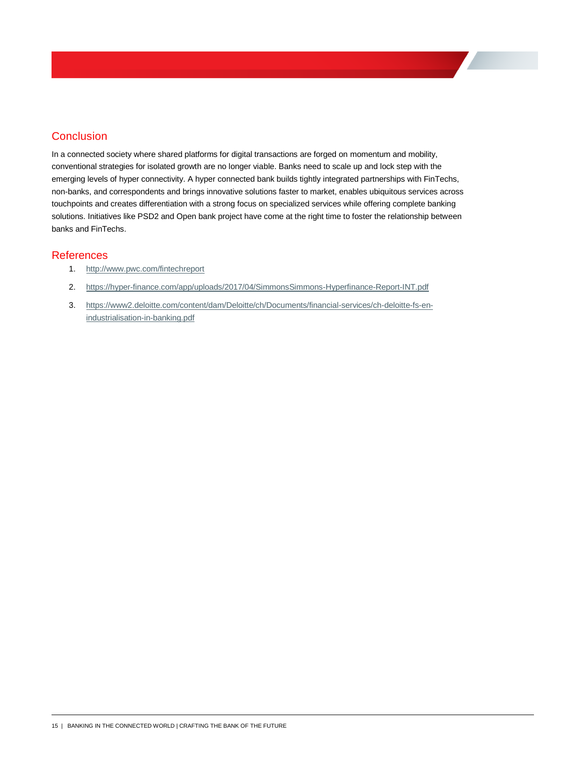# **Conclusion**

In a connected society where shared platforms for digital transactions are forged on momentum and mobility, conventional strategies for isolated growth are no longer viable. Banks need to scale up and lock step with the emerging levels of hyper connectivity. A hyper connected bank builds tightly integrated partnerships with FinTechs, non-banks, and correspondents and brings innovative solutions faster to market, enables ubiquitous services across touchpoints and creates differentiation with a strong focus on specialized services while offering complete banking solutions. Initiatives like PSD2 and Open bank project have come at the right time to foster the relationship between banks and FinTechs.

## References

- 1. <http://www.pwc.com/fintechreport>
- 2. <https://hyper-finance.com/app/uploads/2017/04/SimmonsSimmons-Hyperfinance-Report-INT.pdf>
- 3. [https://www2.deloitte.com/content/dam/Deloitte/ch/Documents/financial-services/ch-deloitte-fs-en](https://www2.deloitte.com/content/dam/Deloitte/ch/Documents/financial-services/ch-deloitte-fs-en-industrialisation-in-banking.pdf)[industrialisation-in-banking.pdf](https://www2.deloitte.com/content/dam/Deloitte/ch/Documents/financial-services/ch-deloitte-fs-en-industrialisation-in-banking.pdf)